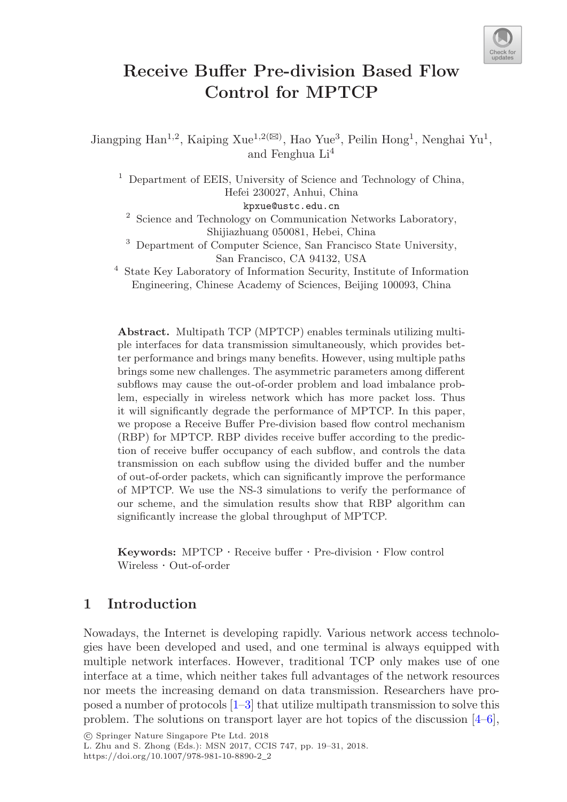

# **Receive Buffer Pre-division Based Flow Control for MPTCP**

Jiangping Han<sup>1,2</sup>, Kaiping Xue<sup>1,2( $\boxtimes$ ), Hao Yue<sup>3</sup>, Peilin Hong<sup>1</sup>, Nenghai Yu<sup>1</sup>,</sup> and Fenghua Li<sup>4</sup>

<sup>1</sup> Department of EEIS, University of Science and Technology of China, Hefei 230027, Anhui, China kpxue@ustc.edu.cn

<sup>2</sup> Science and Technology on Communication Networks Laboratory, Shijiazhuang 050081, Hebei, China

<sup>3</sup> Department of Computer Science, San Francisco State University, San Francisco, CA 94132, USA

<sup>4</sup> State Key Laboratory of Information Security, Institute of Information Engineering, Chinese Academy of Sciences, Beijing 100093, China

**Abstract.** Multipath TCP (MPTCP) enables terminals utilizing multiple interfaces for data transmission simultaneously, which provides better performance and brings many benefits. However, using multiple paths brings some new challenges. The asymmetric parameters among different subflows may cause the out-of-order problem and load imbalance problem, especially in wireless network which has more packet loss. Thus it will significantly degrade the performance of MPTCP. In this paper, we propose a Receive Buffer Pre-division based flow control mechanism (RBP) for MPTCP. RBP divides receive buffer according to the prediction of receive buffer occupancy of each subflow, and controls the data transmission on each subflow using the divided buffer and the number of out-of-order packets, which can significantly improve the performance of MPTCP. We use the NS-3 simulations to verify the performance of our scheme, and the simulation results show that RBP algorithm can significantly increase the global throughput of MPTCP.

**Keywords:** MPTCP · Receive buffer · Pre-division · Flow control Wireless · Out-of-order

# **1 Introduction**

Nowadays, the Internet is developing rapidly. Various network access technologies have been developed and used, and one terminal is always equipped with multiple network interfaces. However, traditional TCP only makes use of one interface at a time, which neither takes full advantages of the network resources nor meets the increasing demand on data transmission. Researchers have proposed a number of protocols [1–3] that utilize multipath transmission to solve this problem. The solutions on transport layer are hot topics of the discussion [4–6],

<sup>-</sup>c Springer Nature Singapore Pte Ltd. 2018

L. Zhu and S. Zhong (Eds.): MSN 2017, CCIS 747, pp. 19–31, 2018. https://doi.org/10.1007/978-981-10-8890-2\_2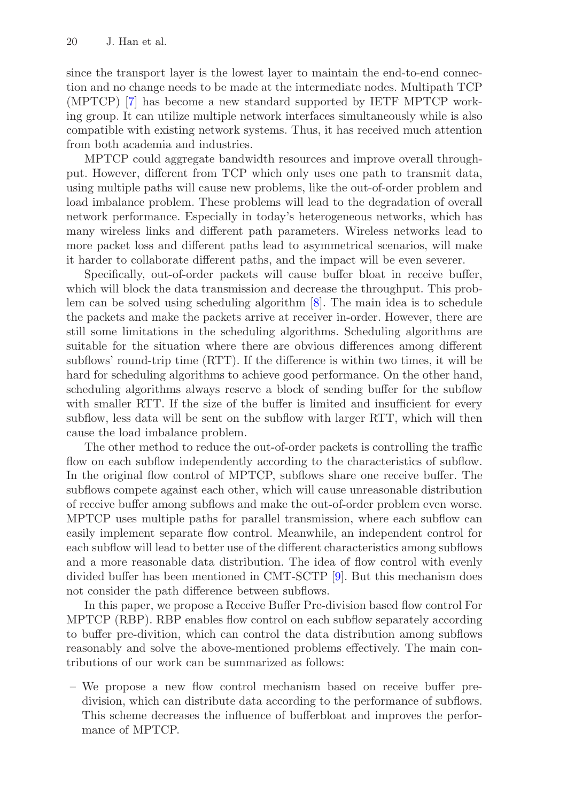since the transport layer is the lowest layer to maintain the end-to-end connection and no change needs to be made at the intermediate nodes. Multipath TCP (MPTCP) [7] has become a new standard supported by IETF MPTCP working group. It can utilize multiple network interfaces simultaneously while is also compatible with existing network systems. Thus, it has received much attention from both academia and industries.

MPTCP could aggregate bandwidth resources and improve overall throughput. However, different from TCP which only uses one path to transmit data, using multiple paths will cause new problems, like the out-of-order problem and load imbalance problem. These problems will lead to the degradation of overall network performance. Especially in today's heterogeneous networks, which has many wireless links and different path parameters. Wireless networks lead to more packet loss and different paths lead to asymmetrical scenarios, will make it harder to collaborate different paths, and the impact will be even severer.

Specifically, out-of-order packets will cause buffer bloat in receive buffer, which will block the data transmission and decrease the throughput. This problem can be solved using scheduling algorithm [8]. The main idea is to schedule the packets and make the packets arrive at receiver in-order. However, there are still some limitations in the scheduling algorithms. Scheduling algorithms are suitable for the situation where there are obvious differences among different subflows' round-trip time (RTT). If the difference is within two times, it will be hard for scheduling algorithms to achieve good performance. On the other hand, scheduling algorithms always reserve a block of sending buffer for the subflow with smaller RTT. If the size of the buffer is limited and insufficient for every subflow, less data will be sent on the subflow with larger RTT, which will then cause the load imbalance problem.

The other method to reduce the out-of-order packets is controlling the traffic flow on each subflow independently according to the characteristics of subflow. In the original flow control of MPTCP, subflows share one receive buffer. The subflows compete against each other, which will cause unreasonable distribution of receive buffer among subflows and make the out-of-order problem even worse. MPTCP uses multiple paths for parallel transmission, where each subflow can easily implement separate flow control. Meanwhile, an independent control for each subflow will lead to better use of the different characteristics among subflows and a more reasonable data distribution. The idea of flow control with evenly divided buffer has been mentioned in CMT-SCTP [9]. But this mechanism does not consider the path difference between subflows.

In this paper, we propose a Receive Buffer Pre-division based flow control For MPTCP (RBP). RBP enables flow control on each subflow separately according to buffer pre-divition, which can control the data distribution among subflows reasonably and solve the above-mentioned problems effectively. The main contributions of our work can be summarized as follows:

– We propose a new flow control mechanism based on receive buffer predivision, which can distribute data according to the performance of subflows. This scheme decreases the influence of bufferbloat and improves the performance of MPTCP.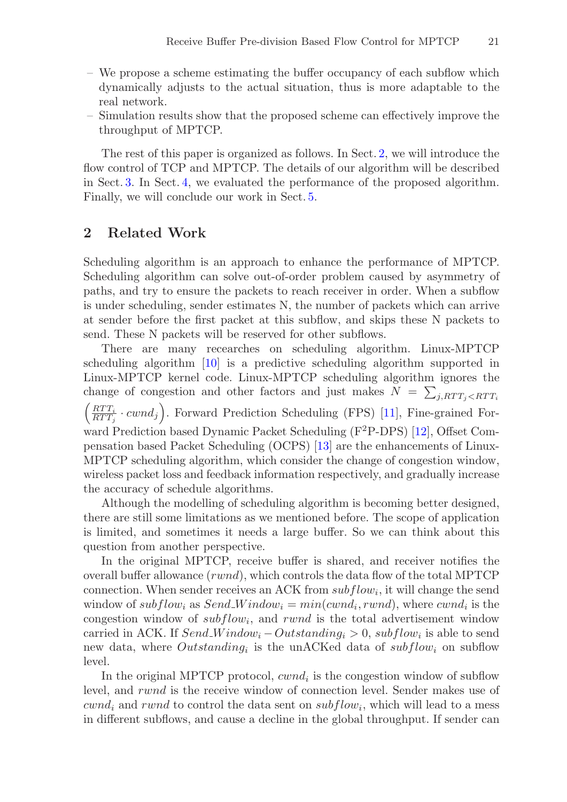- We propose a scheme estimating the buffer occupancy of each subflow which dynamically adjusts to the actual situation, thus is more adaptable to the real network.
- Simulation results show that the proposed scheme can effectively improve the throughput of MPTCP.

The rest of this paper is organized as follows. In Sect. 2, we will introduce the flow control of TCP and MPTCP. The details of our algorithm will be described in Sect. 3. In Sect. 4, we evaluated the performance of the proposed algorithm. Finally, we will conclude our work in Sect. 5.

### **2 Related Work**

Scheduling algorithm is an approach to enhance the performance of MPTCP. Scheduling algorithm can solve out-of-order problem caused by asymmetry of paths, and try to ensure the packets to reach receiver in order. When a subflow is under scheduling, sender estimates N, the number of packets which can arrive at sender before the first packet at this subflow, and skips these N packets to send. These N packets will be reserved for other subflows.

There are many recearches on scheduling algorithm. Linux-MPTCP scheduling algorithm [10] is a predictive scheduling algorithm supported in Linux-MPTCP kernel code. Linux-MPTCP scheduling algorithm ignores the change of congestion and other factors and just makes  $N = \sum_{j, RTT_j \le RTT_i}$  $\left(\frac{RTT_i}{RTT_j} \cdot cwnd_j\right)$ . Forward Prediction Scheduling (FPS) [11], Fine-grained Forward Prediction based Dynamic Packet Scheduling (F<sup>2</sup>P-DPS) [12], Offset Compensation based Packet Scheduling (OCPS) [13] are the enhancements of Linux-MPTCP scheduling algorithm, which consider the change of congestion window, wireless packet loss and feedback information respectively, and gradually increase the accuracy of schedule algorithms.

Although the modelling of scheduling algorithm is becoming better designed, there are still some limitations as we mentioned before. The scope of application is limited, and sometimes it needs a large buffer. So we can think about this question from another perspective.

In the original MPTCP, receive buffer is shared, and receiver notifies the overall buffer allowance (rwnd), which controls the data flow of the total MPTCP connection. When sender receives an ACK from  $subflow_i$ , it will change the send window of subflow<sub>i</sub> as Send<sub>-</sub>Window<sub>i</sub> =  $min(cwnd_i, rwnd)$ , where  $cwnd_i$  is the congestion window of  $subflow_i$ , and rwnd is the total advertisement window carried in ACK. If  $Send\_Window_i -Outstanding_i > 0$ ,  $subflow_i$  is able to send new data, where *Outstanding*<sub>i</sub> is the unACKed data of  $subflow$ <sub>i</sub> on subflow level.

In the original MPTCP protocol,  $cwnd_i$  is the congestion window of subflow level, and rwnd is the receive window of connection level. Sender makes use of  $cwnd_i$  and rwnd to control the data sent on  $subflow_i$ , which will lead to a mess in different subflows, and cause a decline in the global throughput. If sender can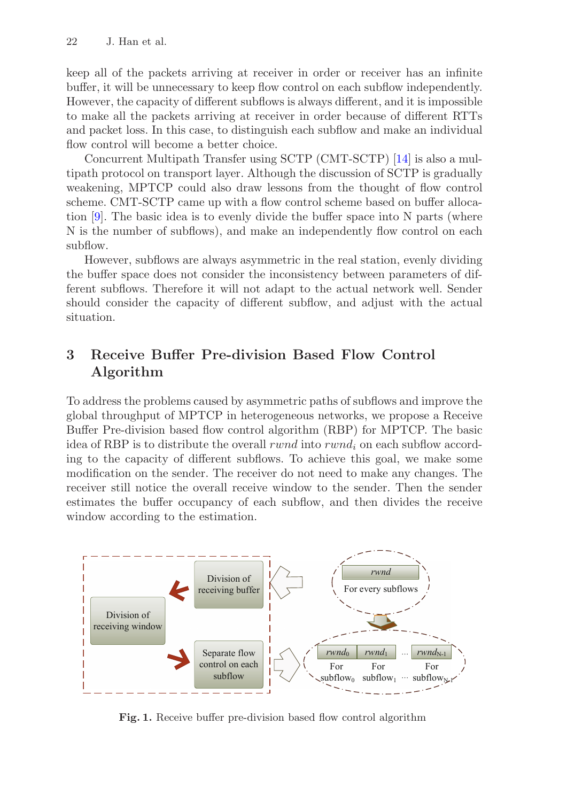keep all of the packets arriving at receiver in order or receiver has an infinite buffer, it will be unnecessary to keep flow control on each subflow independently. However, the capacity of different subflows is always different, and it is impossible to make all the packets arriving at receiver in order because of different RTTs and packet loss. In this case, to distinguish each subflow and make an individual flow control will become a better choice.

Concurrent Multipath Transfer using SCTP (CMT-SCTP) [14] is also a multipath protocol on transport layer. Although the discussion of SCTP is gradually weakening, MPTCP could also draw lessons from the thought of flow control scheme. CMT-SCTP came up with a flow control scheme based on buffer allocation [9]. The basic idea is to evenly divide the buffer space into N parts (where N is the number of subflows), and make an independently flow control on each subflow.

However, subflows are always asymmetric in the real station, evenly dividing the buffer space does not consider the inconsistency between parameters of different subflows. Therefore it will not adapt to the actual network well. Sender should consider the capacity of different subflow, and adjust with the actual situation.

# **3 Receive Buffer Pre-division Based Flow Control Algorithm**

To address the problems caused by asymmetric paths of subflows and improve the global throughput of MPTCP in heterogeneous networks, we propose a Receive Buffer Pre-division based flow control algorithm (RBP) for MPTCP. The basic idea of RBP is to distribute the overall rwnd into rwnd<sub>i</sub> on each subflow according to the capacity of different subflows. To achieve this goal, we make some modification on the sender. The receiver do not need to make any changes. The receiver still notice the overall receive window to the sender. Then the sender estimates the buffer occupancy of each subflow, and then divides the receive window according to the estimation.



Fig. 1. Receive buffer pre-division based flow control algorithm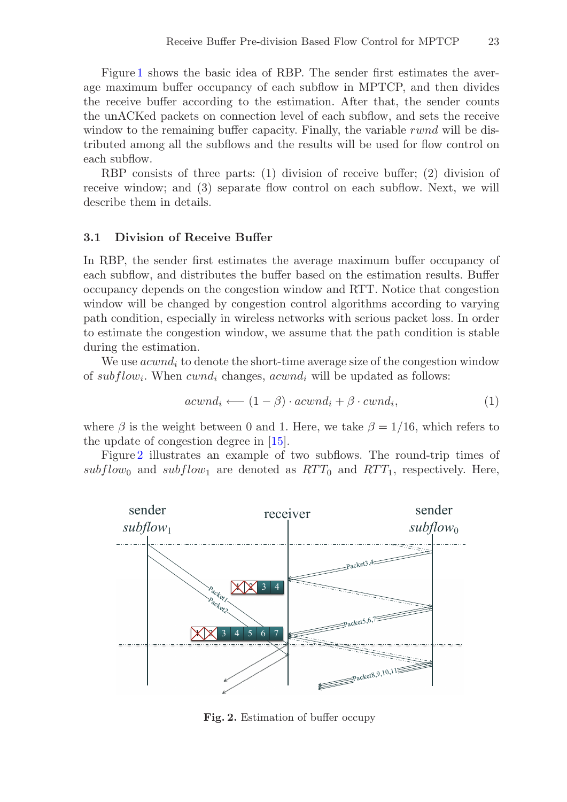Figure 1 shows the basic idea of RBP. The sender first estimates the average maximum buffer occupancy of each subflow in MPTCP, and then divides the receive buffer according to the estimation. After that, the sender counts the unACKed packets on connection level of each subflow, and sets the receive window to the remaining buffer capacity. Finally, the variable rwnd will be distributed among all the subflows and the results will be used for flow control on each subflow.

RBP consists of three parts: (1) division of receive buffer; (2) division of receive window; and (3) separate flow control on each subflow. Next, we will describe them in details.

#### **3.1 Division of Receive Buffer**

In RBP, the sender first estimates the average maximum buffer occupancy of each subflow, and distributes the buffer based on the estimation results. Buffer occupancy depends on the congestion window and RTT. Notice that congestion window will be changed by congestion control algorithms according to varying path condition, especially in wireless networks with serious packet loss. In order to estimate the congestion window, we assume that the path condition is stable during the estimation.

We use  $acwnd_i$  to denote the short-time average size of the congestion window of  $subflow_i$ . When  $cwnd_i$  changes,  $acwnd_i$  will be updated as follows:

$$
acwnd_i \longleftarrow (1 - \beta) \cdot acwnd_i + \beta \cdot cwnd_i, \tag{1}
$$

where  $\beta$  is the weight between 0 and 1. Here, we take  $\beta = 1/16$ , which refers to the update of congestion degree in [15].

Figure 2 illustrates an example of two subflows. The round-trip times of subflow<sub>0</sub> and subflow<sub>1</sub> are denoted as  $RTT_0$  and  $RTT_1$ , respectively. Here,



**Fig. 2.** Estimation of buffer occupy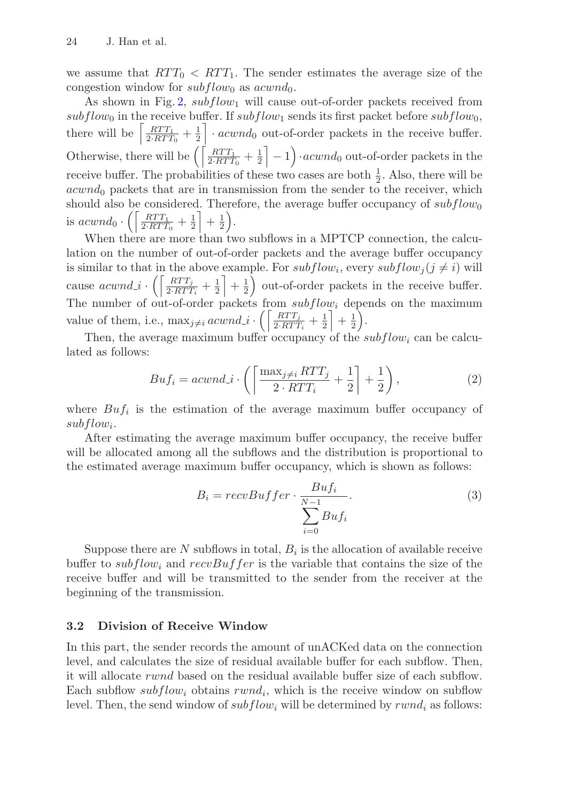we assume that  $RTT_0 < RTT_1$ . The sender estimates the average size of the congestion window for  $subflow_0$  as  $acwnd_0$ .

As shown in Fig. 2,  $subflow_1$  will cause out-of-order packets received from  $subflow_0$  in the receive buffer. If  $subflow_1$  sends its first packet before  $subflow_0$ , there will be  $\left[\frac{RTT_1}{2 \cdot RTT_0} + \frac{1}{2}\right] \cdot accumulated$  out-of-order packets in the receive buffer. Otherwise, there will be  $\left( \left\lceil \frac{RTT_1}{2RTT_0} + \frac{1}{2} \right\rceil - 1 \right)$  acwrd<sub>0</sub> out-of-order packets in the receive buffer. The probabilities of these two cases are both  $\frac{1}{2}$ . Also, there will be  $acwnd_0$  packets that are in transmission from the sender to the receiver, which should also be considered. Therefore, the average buffer occupancy of  $subflow_0$ is  $\mathit{acwnd}_0 \cdot \left( \left\lceil \frac{\mathit{RTT}_1}{2 \cdot \mathit{RTT}_0} + \frac{1}{2} \right\rceil + \frac{1}{2} \right)$ .

When there are more than two subflows in a MPTCP connection, the calculation on the number of out-of-order packets and the average buffer occupancy is similar to that in the above example. For  $subflow_i$ , every  $subflow_j (j \neq i)$  will cause  $acwnd_i \cdot \left( \left\lceil \frac{RTT_j}{2 \cdot RTT_i} + \frac{1}{2} \right\rceil + \frac{1}{2} \right)$  out-of-order packets in the receive buffer. The number of out-of-order packets from  $subflow_i$  depends on the maximum value of them, i.e.,  $\max_{j \neq i} around \underline{i} \cdot \left( \left[ \frac{RTT_j}{2RTT_i} + \frac{1}{2} \right] + \frac{1}{2} \right)$ .

Then, the average maximum buffer occupancy of the  $subflow_i$  can be calculated as follows:

$$
Buf_i = acwnd.i \cdot \left( \left\lceil \frac{\max_{j \neq i} RTT_j}{2 \cdot RTT_i} + \frac{1}{2} \right\rceil + \frac{1}{2} \right),\tag{2}
$$

where  $Buf_i$  is the estimation of the average maximum buffer occupancy of  $subflow_i$ .

After estimating the average maximum buffer occupancy, the receive buffer will be allocated among all the subflows and the distribution is proportional to the estimated average maximum buffer occupancy, which is shown as follows:

$$
B_i = recvBuffer \cdot \frac{Butf_i}{\sum_{i=0}^{N-1} Butf_i}.
$$
\n(3)

Suppose there are N subflows in total,  $B_i$  is the allocation of available receive buffer to subflow<sub>i</sub> and recvBuffer is the variable that contains the size of the receive buffer and will be transmitted to the sender from the receiver at the beginning of the transmission.

### **3.2 Division of Receive Window**

In this part, the sender records the amount of unACKed data on the connection level, and calculates the size of residual available buffer for each subflow. Then, it will allocate rwnd based on the residual available buffer size of each subflow. Each subflow subflow<sub>i</sub> obtains  $rwnd_i$ , which is the receive window on subflow level. Then, the send window of  $subflow_i$  will be determined by  $rwnd_i$  as follows: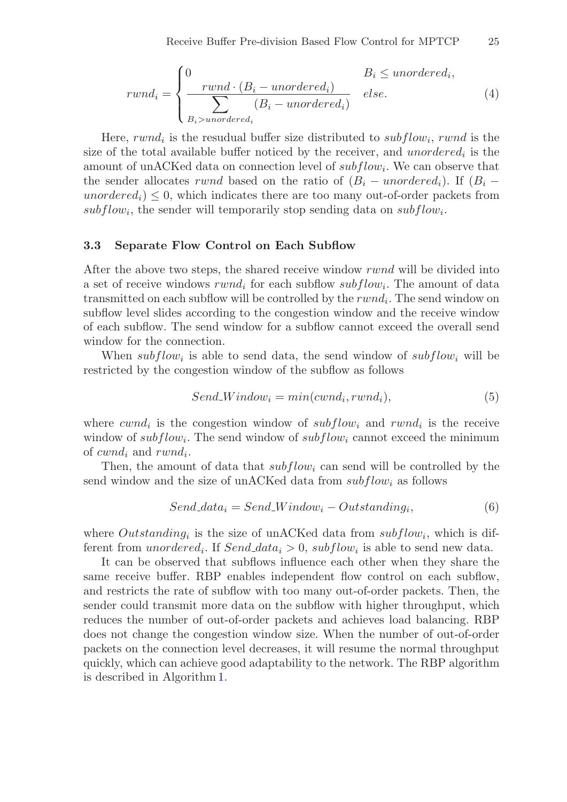$$
rwnd_i = \begin{cases} 0 & B_i \le unordered_i, \\ \frac{rwnd \cdot (B_i - unordered_i)}{\sum_{B_i > unordered_i} (B_i - unordered_i)} & else. \end{cases}
$$
(4)

Here, rwnd<sub>i</sub> is the resudual buffer size distributed to subflow<sub>i</sub>, rwnd is the size of the total available buffer noticed by the receiver, and unordered<sub>i</sub> is the amount of unACKed data on connection level of  $subflow_i$ . We can observe that the sender allocates rwnd based on the ratio of  $(B_i$  – unordered<sub>i</sub>). If  $(B_i$  – unordered<sub>i</sub>)  $\leq 0$ , which indicates there are too many out-of-order packets from subflow<sub>i</sub>, the sender will temporarily stop sending data on subflow<sub>i</sub>.

#### **3.3 Separate Flow Control on Each Subflow**

After the above two steps, the shared receive window rwnd will be divided into a set of receive windows  $rwnd_i$  for each subflow  $subflow_i$ . The amount of data transmitted on each subflow will be controlled by the  $rwnd_i$ . The send window on subflow level slides according to the congestion window and the receive window of each subflow. The send window for a subflow cannot exceed the overall send window for the connection.

When subflow<sub>i</sub> is able to send data, the send window of subflow<sub>i</sub> will be restricted by the congestion window of the subflow as follows

$$
Send\_Window_i = min(cwnd_i, rwnd_i), \tag{5}
$$

where  $cwnd_i$  is the congestion window of  $subflow_i$  and  $rwnd_i$  is the receive window of  $subflow_i$ . The send window of  $subflow_i$  cannot exceed the minimum of  $cwnd_i$  and  $rwnd_i$ .

Then, the amount of data that  $subflow_i$  can send will be controlled by the send window and the size of unACKed data from  $subflow_i$  as follows

$$
Send\_data_i = Send\_Window_i - Outstanding_i,\tag{6}
$$

where Outstanding<sub>i</sub> is the size of unACKed data from  $subflow_i$ , which is different from *unordered<sub>i</sub>*. If Send\_data<sub>i</sub> > 0,  $subflow_i$  is able to send new data.

It can be observed that subflows influence each other when they share the same receive buffer. RBP enables independent flow control on each subflow, and restricts the rate of subflow with too many out-of-order packets. Then, the sender could transmit more data on the subflow with higher throughput, which reduces the number of out-of-order packets and achieves load balancing. RBP does not change the congestion window size. When the number of out-of-order packets on the connection level decreases, it will resume the normal throughput quickly, which can achieve good adaptability to the network. The RBP algorithm is described in Algorithm 1.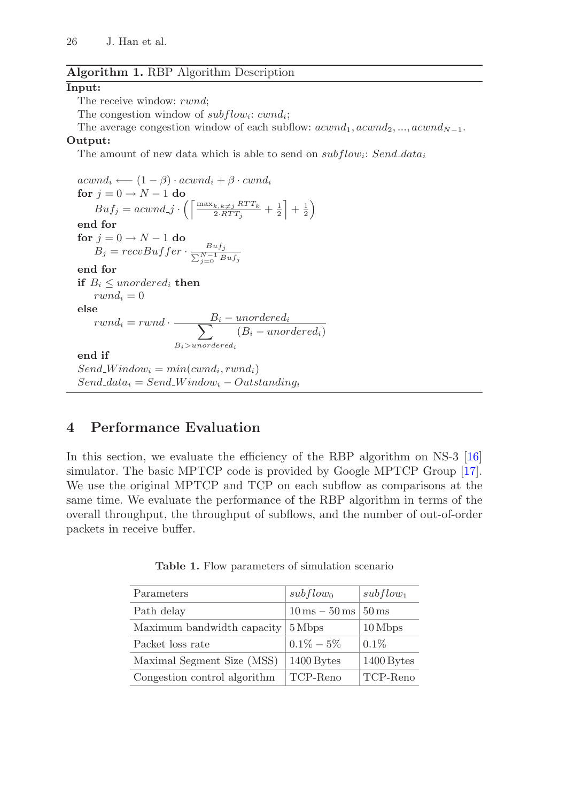### **Algorithm 1.** RBP Algorithm Description

#### **Input:**

The receive window: rwnd:

The congestion window of  $subflow_i$ : cwnd<sub>i</sub>;

The average congestion window of each subflow:  $acwnd_1, acwnd_2, ..., acwnd_{N-1}$ .

#### **Output:**

The amount of new data which is able to send on  $subflow_i$ : Send\_data<sub>i</sub>

 $acwnd_i \longleftarrow (1 - \beta) \cdot acwnd_i + \beta \cdot cwnd_i$ **for**  $j = 0 \rightarrow N - 1$  **do**  $Buf_j = accumulated_j \cdot \left( \left\lceil \frac{\max_{k,k\neq j}RTT_k}{2 \cdot RTT_j} \right\rceil \right.$  $\frac{k,k\neq j}{2 \cdot RTT_j} + \frac{1}{2} + \frac{1}{2}$ **end for**  $\mathbf{for} \; j = 0 \rightarrow N-1 \; \mathbf{do}$  $B_j = revBuffer \cdot \frac{B u f_j}{\sum_{j=0}^{N-1} B u f_j}$ **end for if**  $B_i \le$  unordered<sub>i</sub> **then**  $rwnd_i = 0$ **else**  $\mathit{rwnd}_i = \mathit{rwnd} \cdot \frac{B_i - \mathit{unordered}_i}{\sum}$  $B_i$ >unordere  $(B_i - unordered_i)$ **end if**  $Send\_Window_i = min(cwnd_i, rwnd_i)$  $Send\_data_i = Send\_Window_i - Outstanding_i$ 

# **4 Performance Evaluation**

In this section, we evaluate the efficiency of the RBP algorithm on NS-3 [16] simulator. The basic MPTCP code is provided by Google MPTCP Group [17]. We use the original MPTCP and TCP on each subflow as comparisons at the same time. We evaluate the performance of the RBP algorithm in terms of the overall throughput, the throughput of subflows, and the number of out-of-order packets in receive buffer.

| Parameters                   | $subflow_0$                           | $subflow_1$        |
|------------------------------|---------------------------------------|--------------------|
| Path delay                   | $10 \,\mathrm{ms} - 50 \,\mathrm{ms}$ | $50 \,\mathrm{ms}$ |
| Maximum bandwidth capacity   | 5 Mbps                                | 10 Mbps            |
| Packet loss rate             | $0.1\% - 5\%$                         | $0.1\%$            |
| Maximal Segment Size (MSS)   | $1400$ Bytes                          | 1400 Bytes         |
| Congestion control algorithm | TCP-Reno                              | TCP-Reno           |

**Table 1.** Flow parameters of simulation scenario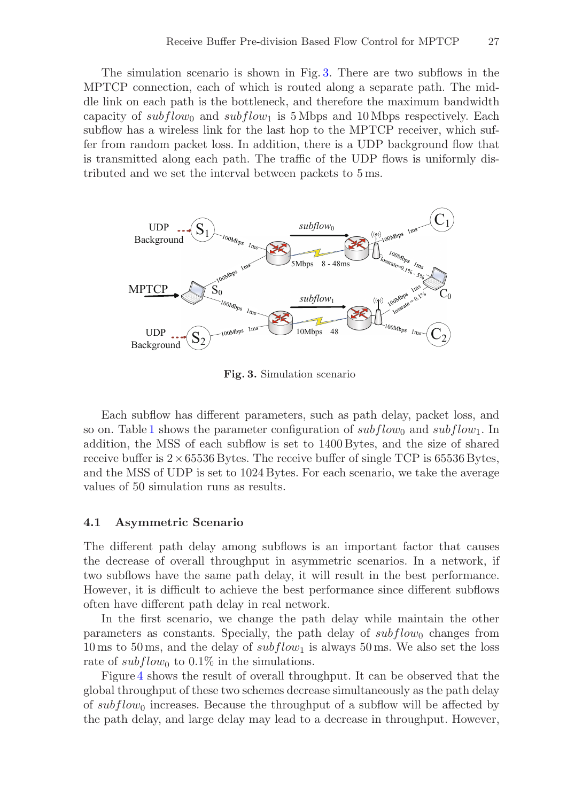The simulation scenario is shown in Fig. 3. There are two subflows in the MPTCP connection, each of which is routed along a separate path. The middle link on each path is the bottleneck, and therefore the maximum bandwidth capacity of subflow<sub>0</sub> and subflow<sub>1</sub> is 5 Mbps and 10 Mbps respectively. Each subflow has a wireless link for the last hop to the MPTCP receiver, which suffer from random packet loss. In addition, there is a UDP background flow that is transmitted along each path. The traffic of the UDP flows is uniformly distributed and we set the interval between packets to 5 ms.



**Fig. 3.** Simulation scenario

Each subflow has different parameters, such as path delay, packet loss, and so on. Table 1 shows the parameter configuration of  $subflow_0$  and  $subflow_1$ . In addition, the MSS of each subflow is set to 1400 Bytes, and the size of shared receive buffer is  $2 \times 65536$  Bytes. The receive buffer of single TCP is 65536 Bytes, and the MSS of UDP is set to 1024 Bytes. For each scenario, we take the average values of 50 simulation runs as results.

#### **4.1 Asymmetric Scenario**

The different path delay among subflows is an important factor that causes the decrease of overall throughput in asymmetric scenarios. In a network, if two subflows have the same path delay, it will result in the best performance. However, it is difficult to achieve the best performance since different subflows often have different path delay in real network.

In the first scenario, we change the path delay while maintain the other parameters as constants. Specially, the path delay of  $subflow_0$  changes from 10 ms to 50 ms, and the delay of  $subflow_1$  is always 50 ms. We also set the loss rate of  $subflow_0$  to 0.1% in the simulations.

Figure 4 shows the result of overall throughput. It can be observed that the global throughput of these two schemes decrease simultaneously as the path delay of  $subflow_0$  increases. Because the throughput of a subflow will be affected by the path delay, and large delay may lead to a decrease in throughput. However,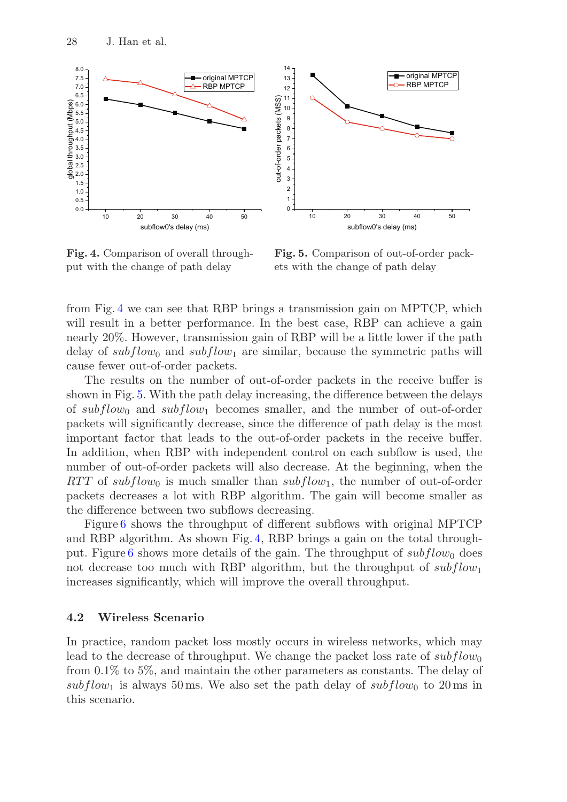

**Fig. 4.** Comparison of overall throughput with the change of path delay

**Fig. 5.** Comparison of out-of-order packets with the change of path delay

from Fig. 4 we can see that RBP brings a transmission gain on MPTCP, which will result in a better performance. In the best case, RBP can achieve a gain nearly 20%. However, transmission gain of RBP will be a little lower if the path delay of  $subflow_0$  and  $subflow_1$  are similar, because the symmetric paths will cause fewer out-of-order packets.

The results on the number of out-of-order packets in the receive buffer is shown in Fig. 5. With the path delay increasing, the difference between the delays of  $subflow_0$  and  $subflow_1$  becomes smaller, and the number of out-of-order packets will significantly decrease, since the difference of path delay is the most important factor that leads to the out-of-order packets in the receive buffer. In addition, when RBP with independent control on each subflow is used, the number of out-of-order packets will also decrease. At the beginning, when the RTT of subflow<sub>0</sub> is much smaller than  $subflow_1$ , the number of out-of-order packets decreases a lot with RBP algorithm. The gain will become smaller as the difference between two subflows decreasing.

Figure 6 shows the throughput of different subflows with original MPTCP and RBP algorithm. As shown Fig. 4, RBP brings a gain on the total throughput. Figure 6 shows more details of the gain. The throughput of  $subflow_0$  does not decrease too much with RBP algorithm, but the throughput of  $subflow_1$ increases significantly, which will improve the overall throughput.

#### **4.2 Wireless Scenario**

In practice, random packet loss mostly occurs in wireless networks, which may lead to the decrease of throughput. We change the packet loss rate of  $subflow_0$ from 0.1% to 5%, and maintain the other parameters as constants. The delay of subflow<sub>1</sub> is always 50 ms. We also set the path delay of subflow<sub>0</sub> to 20 ms in this scenario.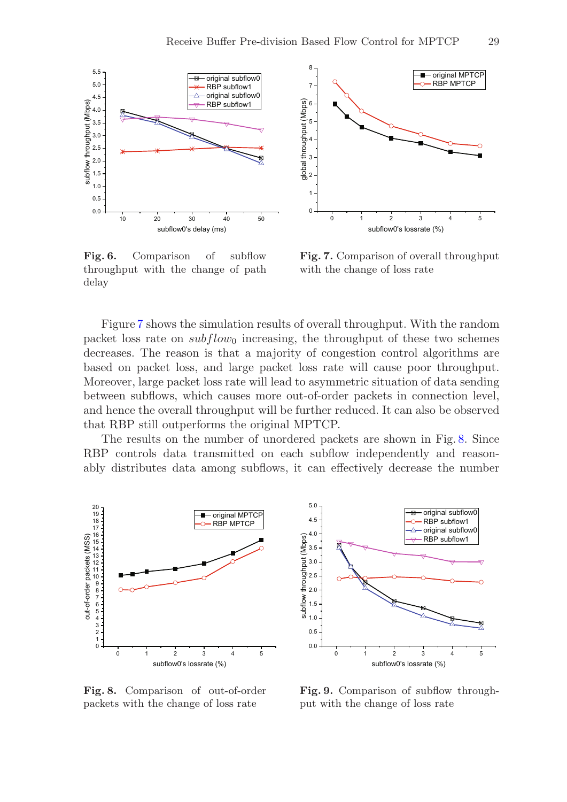

**Fig. 6.** Comparison of subflow throughput with the change of path delay

**Fig. 7.** Comparison of overall throughput with the change of loss rate

Figure 7 shows the simulation results of overall throughput. With the random packet loss rate on  $subflow_0$  increasing, the throughput of these two schemes decreases. The reason is that a majority of congestion control algorithms are based on packet loss, and large packet loss rate will cause poor throughput. Moreover, large packet loss rate will lead to asymmetric situation of data sending between subflows, which causes more out-of-order packets in connection level, and hence the overall throughput will be further reduced. It can also be observed that RBP still outperforms the original MPTCP.

The results on the number of unordered packets are shown in Fig. 8. Since RBP controls data transmitted on each subflow independently and reasonably distributes data among subflows, it can effectively decrease the number



5.0 original subflow0 4.5 RBP subflow1 original subflow 4.0 subflow throughput (Mbps) RBP subflow1 3.5 3.0 2.5 2.0 1.5 1.0 Ř 0.5 0.0 012345 subflow0's lossrate (%)

**Fig. 8.** Comparison of out-of-order packets with the change of loss rate

Fig. 9. Comparison of subflow throughput with the change of loss rate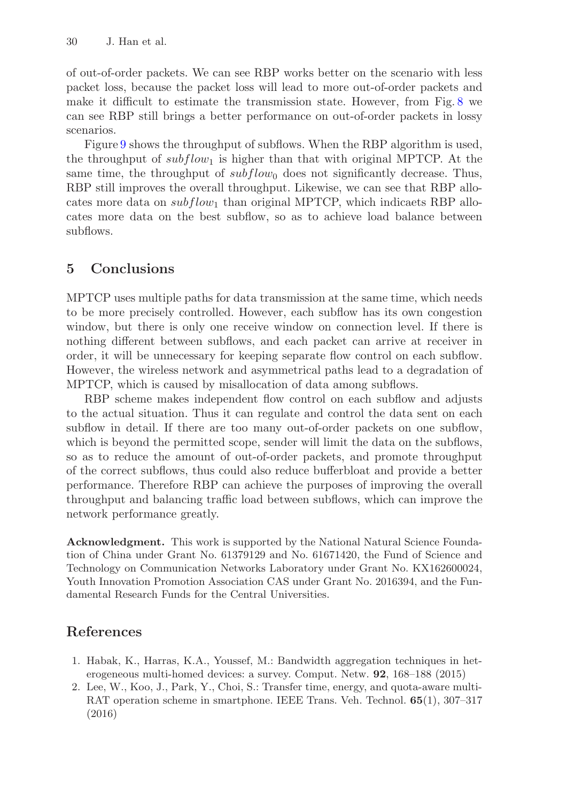of out-of-order packets. We can see RBP works better on the scenario with less packet loss, because the packet loss will lead to more out-of-order packets and make it difficult to estimate the transmission state. However, from Fig. 8 we can see RBP still brings a better performance on out-of-order packets in lossy scenarios.

Figure 9 shows the throughput of subflows. When the RBP algorithm is used, the throughput of  $subflow_1$  is higher than that with original MPTCP. At the same time, the throughput of  $subflow_0$  does not significantly decrease. Thus, RBP still improves the overall throughput. Likewise, we can see that RBP allocates more data on  $subflow_1$  than original MPTCP, which indicaets RBP allocates more data on the best subflow, so as to achieve load balance between subflows.

# **5 Conclusions**

MPTCP uses multiple paths for data transmission at the same time, which needs to be more precisely controlled. However, each subflow has its own congestion window, but there is only one receive window on connection level. If there is nothing different between subflows, and each packet can arrive at receiver in order, it will be unnecessary for keeping separate flow control on each subflow. However, the wireless network and asymmetrical paths lead to a degradation of MPTCP, which is caused by misallocation of data among subflows.

RBP scheme makes independent flow control on each subflow and adjusts to the actual situation. Thus it can regulate and control the data sent on each subflow in detail. If there are too many out-of-order packets on one subflow, which is beyond the permitted scope, sender will limit the data on the subflows, so as to reduce the amount of out-of-order packets, and promote throughput of the correct subflows, thus could also reduce bufferbloat and provide a better performance. Therefore RBP can achieve the purposes of improving the overall throughput and balancing traffic load between subflows, which can improve the network performance greatly.

**Acknowledgment.** This work is supported by the National Natural Science Foundation of China under Grant No. 61379129 and No. 61671420, the Fund of Science and Technology on Communication Networks Laboratory under Grant No. KX162600024, Youth Innovation Promotion Association CAS under Grant No. 2016394, and the Fundamental Research Funds for the Central Universities.

# **References**

- 1. Habak, K., Harras, K.A., Youssef, M.: Bandwidth aggregation techniques in heterogeneous multi-homed devices: a survey. Comput. Netw. **92**, 168–188 (2015)
- 2. Lee, W., Koo, J., Park, Y., Choi, S.: Transfer time, energy, and quota-aware multi-RAT operation scheme in smartphone. IEEE Trans. Veh. Technol. **65**(1), 307–317 (2016)